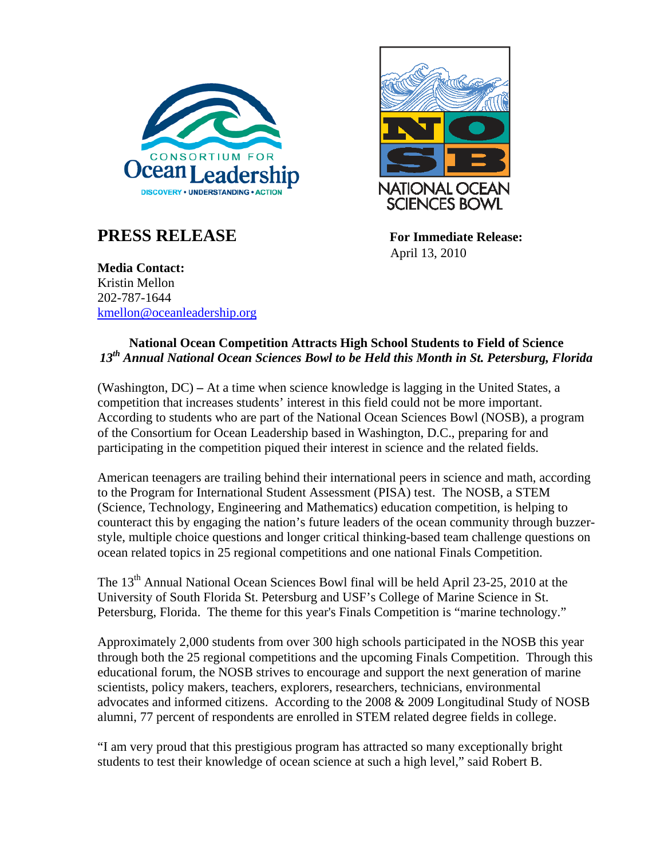

## **PRESS RELEASE** For Immediate Release:



April 13, 2010

**Media Contact:**  Kristin Mellon 202-787-1644 [kmellon@oceanleadership.org](mailto:gschmidt@oceanleadership.org)

## **National Ocean Competition Attracts High School Students to Field of Science**  *13th Annual National Ocean Sciences Bowl to be Held this Month in St. Petersburg, Florida*

(Washington, DC) **–** At a time when science knowledge is lagging in the United States, a competition that increases students' interest in this field could not be more important. According to students who are part of the National Ocean Sciences Bowl (NOSB), a program of the Consortium for Ocean Leadership based in Washington, D.C., preparing for and participating in the competition piqued their interest in science and the related fields.

American teenagers are trailing behind their international peers in science and math, according to the Program for International Student Assessment (PISA) test. The NOSB, a STEM (Science, Technology, Engineering and Mathematics) education competition, is helping to counteract this by engaging the nation's future leaders of the ocean community through buzzerstyle, multiple choice questions and longer critical thinking-based team challenge questions on ocean related topics in 25 regional competitions and one national Finals Competition.

The 13<sup>th</sup> Annual National Ocean Sciences Bowl final will be held April 23-25, 2010 at the University of South Florida St. Petersburg and USF's College of Marine Science in St. Petersburg, Florida. The theme for this year's Finals Competition is "marine technology."

Approximately 2,000 students from over 300 high schools participated in the NOSB this year through both the 25 regional competitions and the upcoming Finals Competition. Through this educational forum, the NOSB strives to encourage and support the next generation of marine scientists, policy makers, teachers, explorers, researchers, technicians, environmental advocates and informed citizens. According to the 2008 & 2009 Longitudinal Study of NOSB alumni, 77 percent of respondents are enrolled in STEM related degree fields in college.

"I am very proud that this prestigious program has attracted so many exceptionally bright students to test their knowledge of ocean science at such a high level," said Robert B.